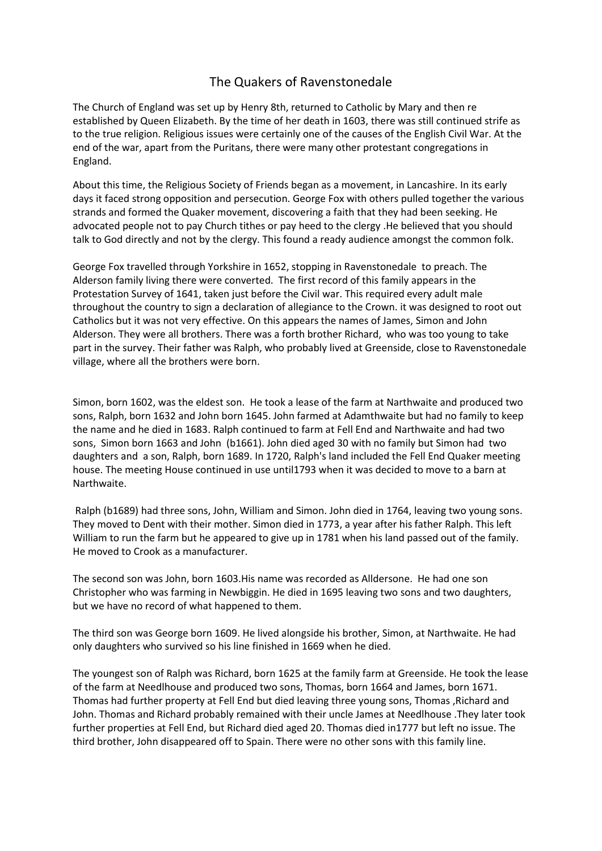## The Quakers of Ravenstonedale

The Church of England was set up by Henry 8th, returned to Catholic by Mary and then re established by Queen Elizabeth. By the time of her death in 1603, there was still continued strife as to the true religion. Religious issues were certainly one of the causes of the English Civil War. At the end of the war, apart from the Puritans, there were many other protestant congregations in England.

About this time, the Religious Society of Friends began as a movement, in Lancashire. In its early days it faced strong opposition and persecution. George Fox with others pulled together the various strands and formed the Quaker movement, discovering a faith that they had been seeking. He advocated people not to pay Church tithes or pay heed to the clergy .He believed that you should talk to God directly and not by the clergy. This found a ready audience amongst the common folk.

George Fox travelled through Yorkshire in 1652, stopping in Ravenstonedale to preach. The Alderson family living there were converted. The first record of this family appears in the Protestation Survey of 1641, taken just before the Civil war. This required every adult male throughout the country to sign a declaration of allegiance to the Crown. it was designed to root out Catholics but it was not very effective. On this appears the names of James, Simon and John Alderson. They were all brothers. There was a forth brother Richard, who was too young to take part in the survey. Their father was Ralph, who probably lived at Greenside, close to Ravenstonedale village, where all the brothers were born.

Simon, born 1602, was the eldest son. He took a lease of the farm at Narthwaite and produced two sons, Ralph, born 1632 and John born 1645. John farmed at Adamthwaite but had no family to keep the name and he died in 1683. Ralph continued to farm at Fell End and Narthwaite and had two sons, Simon born 1663 and John (b1661). John died aged 30 with no family but Simon had two daughters and a son, Ralph, born 1689. In 1720, Ralph's land included the Fell End Quaker meeting house. The meeting House continued in use until1793 when it was decided to move to a barn at Narthwaite.

 Ralph (b1689) had three sons, John, William and Simon. John died in 1764, leaving two young sons. They moved to Dent with their mother. Simon died in 1773, a year after his father Ralph. This left William to run the farm but he appeared to give up in 1781 when his land passed out of the family. He moved to Crook as a manufacturer.

The second son was John, born 1603.His name was recorded as Alldersone. He had one son Christopher who was farming in Newbiggin. He died in 1695 leaving two sons and two daughters, but we have no record of what happened to them.

The third son was George born 1609. He lived alongside his brother, Simon, at Narthwaite. He had only daughters who survived so his line finished in 1669 when he died.

The youngest son of Ralph was Richard, born 1625 at the family farm at Greenside. He took the lease of the farm at Needlhouse and produced two sons, Thomas, born 1664 and James, born 1671. Thomas had further property at Fell End but died leaving three young sons, Thomas ,Richard and John. Thomas and Richard probably remained with their uncle James at Needlhouse .They later took further properties at Fell End, but Richard died aged 20. Thomas died in1777 but left no issue. The third brother, John disappeared off to Spain. There were no other sons with this family line.